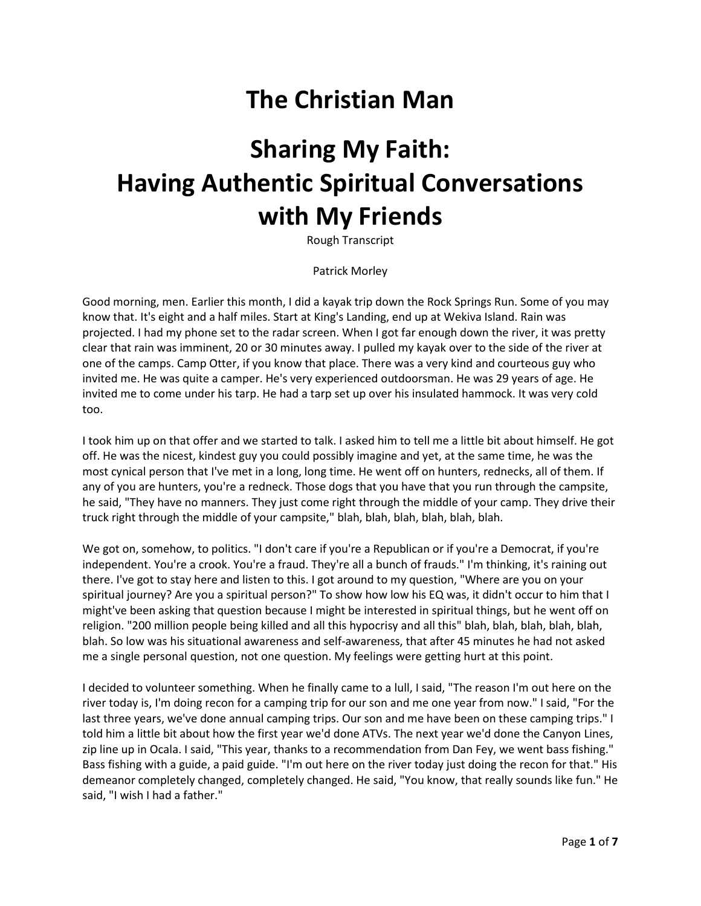## **The Christian Man**

# **Sharing My Faith: Having Authentic Spiritual Conversations with My Friends**

Rough Transcript

Patrick Morley

Good morning, men. Earlier this month, I did a kayak trip down the Rock Springs Run. Some of you may know that. It's eight and a half miles. Start at King's Landing, end up at Wekiva Island. Rain was projected. I had my phone set to the radar screen. When I got far enough down the river, it was pretty clear that rain was imminent, 20 or 30 minutes away. I pulled my kayak over to the side of the river at one of the camps. Camp Otter, if you know that place. There was a very kind and courteous guy who invited me. He was quite a camper. He's very experienced outdoorsman. He was 29 years of age. He invited me to come under his tarp. He had a tarp set up over his insulated hammock. It was very cold too.

I took him up on that offer and we started to talk. I asked him to tell me a little bit about himself. He got off. He was the nicest, kindest guy you could possibly imagine and yet, at the same time, he was the most cynical person that I've met in a long, long time. He went off on hunters, rednecks, all of them. If any of you are hunters, you're a redneck. Those dogs that you have that you run through the campsite, he said, "They have no manners. They just come right through the middle of your camp. They drive their truck right through the middle of your campsite," blah, blah, blah, blah, blah, blah.

We got on, somehow, to politics. "I don't care if you're a Republican or if you're a Democrat, if you're independent. You're a crook. You're a fraud. They're all a bunch of frauds." I'm thinking, it's raining out there. I've got to stay here and listen to this. I got around to my question, "Where are you on your spiritual journey? Are you a spiritual person?" To show how low his EQ was, it didn't occur to him that I might've been asking that question because I might be interested in spiritual things, but he went off on religion. "200 million people being killed and all this hypocrisy and all this" blah, blah, blah, blah, blah, blah. So low was his situational awareness and self-awareness, that after 45 minutes he had not asked me a single personal question, not one question. My feelings were getting hurt at this point.

I decided to volunteer something. When he finally came to a lull, I said, "The reason I'm out here on the river today is, I'm doing recon for a camping trip for our son and me one year from now." I said, "For the last three years, we've done annual camping trips. Our son and me have been on these camping trips." I told him a little bit about how the first year we'd done ATVs. The next year we'd done the Canyon Lines, zip line up in Ocala. I said, "This year, thanks to a recommendation from Dan Fey, we went bass fishing." Bass fishing with a guide, a paid guide. "I'm out here on the river today just doing the recon for that." His demeanor completely changed, completely changed. He said, "You know, that really sounds like fun." He said, "I wish I had a father."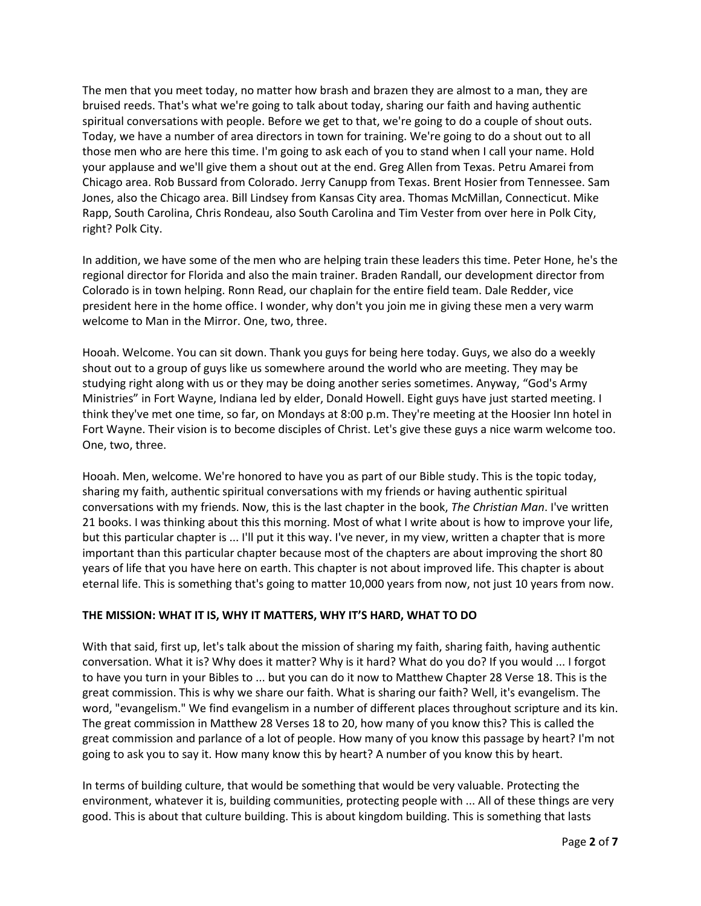The men that you meet today, no matter how brash and brazen they are almost to a man, they are bruised reeds. That's what we're going to talk about today, sharing our faith and having authentic spiritual conversations with people. Before we get to that, we're going to do a couple of shout outs. Today, we have a number of area directors in town for training. We're going to do a shout out to all those men who are here this time. I'm going to ask each of you to stand when I call your name. Hold your applause and we'll give them a shout out at the end. Greg Allen from Texas. Petru Amarei from Chicago area. Rob Bussard from Colorado. Jerry Canupp from Texas. Brent Hosier from Tennessee. Sam Jones, also the Chicago area. Bill Lindsey from Kansas City area. Thomas McMillan, Connecticut. Mike Rapp, South Carolina, Chris Rondeau, also South Carolina and Tim Vester from over here in Polk City, right? Polk City.

In addition, we have some of the men who are helping train these leaders this time. Peter Hone, he's the regional director for Florida and also the main trainer. Braden Randall, our development director from Colorado is in town helping. Ronn Read, our chaplain for the entire field team. Dale Redder, vice president here in the home office. I wonder, why don't you join me in giving these men a very warm welcome to Man in the Mirror. One, two, three.

Hooah. Welcome. You can sit down. Thank you guys for being here today. Guys, we also do a weekly shout out to a group of guys like us somewhere around the world who are meeting. They may be studying right along with us or they may be doing another series sometimes. Anyway, "God's Army Ministries" in Fort Wayne, Indiana led by elder, Donald Howell. Eight guys have just started meeting. I think they've met one time, so far, on Mondays at 8:00 p.m. They're meeting at the Hoosier Inn hotel in Fort Wayne. Their vision is to become disciples of Christ. Let's give these guys a nice warm welcome too. One, two, three.

Hooah. Men, welcome. We're honored to have you as part of our Bible study. This is the topic today, sharing my faith, authentic spiritual conversations with my friends or having authentic spiritual conversations with my friends. Now, this is the last chapter in the book, *The Christian Man*. I've written 21 books. I was thinking about this this morning. Most of what I write about is how to improve your life, but this particular chapter is ... I'll put it this way. I've never, in my view, written a chapter that is more important than this particular chapter because most of the chapters are about improving the short 80 years of life that you have here on earth. This chapter is not about improved life. This chapter is about eternal life. This is something that's going to matter 10,000 years from now, not just 10 years from now.

### **THE MISSION: WHAT IT IS, WHY IT MATTERS, WHY IT'S HARD, WHAT TO DO**

With that said, first up, let's talk about the mission of sharing my faith, sharing faith, having authentic conversation. What it is? Why does it matter? Why is it hard? What do you do? If you would ... I forgot to have you turn in your Bibles to ... but you can do it now to Matthew Chapter 28 Verse 18. This is the great commission. This is why we share our faith. What is sharing our faith? Well, it's evangelism. The word, "evangelism." We find evangelism in a number of different places throughout scripture and its kin. The great commission in Matthew 28 Verses 18 to 20, how many of you know this? This is called the great commission and parlance of a lot of people. How many of you know this passage by heart? I'm not going to ask you to say it. How many know this by heart? A number of you know this by heart.

In terms of building culture, that would be something that would be very valuable. Protecting the environment, whatever it is, building communities, protecting people with ... All of these things are very good. This is about that culture building. This is about kingdom building. This is something that lasts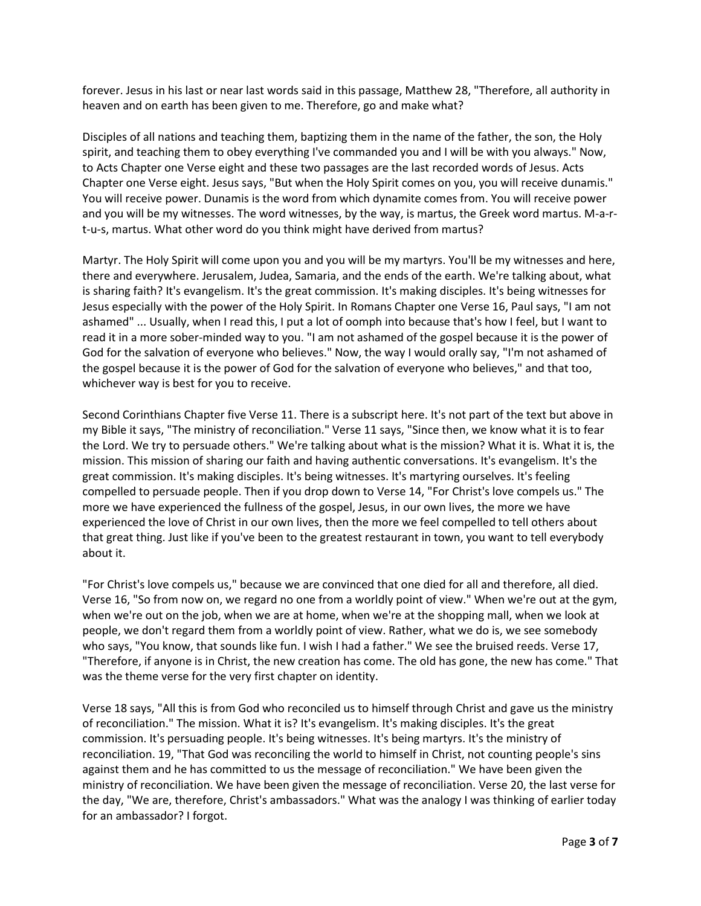forever. Jesus in his last or near last words said in this passage, Matthew 28, "Therefore, all authority in heaven and on earth has been given to me. Therefore, go and make what?

Disciples of all nations and teaching them, baptizing them in the name of the father, the son, the Holy spirit, and teaching them to obey everything I've commanded you and I will be with you always." Now, to Acts Chapter one Verse eight and these two passages are the last recorded words of Jesus. Acts Chapter one Verse eight. Jesus says, "But when the Holy Spirit comes on you, you will receive dunamis." You will receive power. Dunamis is the word from which dynamite comes from. You will receive power and you will be my witnesses. The word witnesses, by the way, is martus, the Greek word martus. M-a-rt-u-s, martus. What other word do you think might have derived from martus?

Martyr. The Holy Spirit will come upon you and you will be my martyrs. You'll be my witnesses and here, there and everywhere. Jerusalem, Judea, Samaria, and the ends of the earth. We're talking about, what is sharing faith? It's evangelism. It's the great commission. It's making disciples. It's being witnesses for Jesus especially with the power of the Holy Spirit. In Romans Chapter one Verse 16, Paul says, "I am not ashamed" ... Usually, when I read this, I put a lot of oomph into because that's how I feel, but I want to read it in a more sober-minded way to you. "I am not ashamed of the gospel because it is the power of God for the salvation of everyone who believes." Now, the way I would orally say, "I'm not ashamed of the gospel because it is the power of God for the salvation of everyone who believes," and that too, whichever way is best for you to receive.

Second Corinthians Chapter five Verse 11. There is a subscript here. It's not part of the text but above in my Bible it says, "The ministry of reconciliation." Verse 11 says, "Since then, we know what it is to fear the Lord. We try to persuade others." We're talking about what is the mission? What it is. What it is, the mission. This mission of sharing our faith and having authentic conversations. It's evangelism. It's the great commission. It's making disciples. It's being witnesses. It's martyring ourselves. It's feeling compelled to persuade people. Then if you drop down to Verse 14, "For Christ's love compels us." The more we have experienced the fullness of the gospel, Jesus, in our own lives, the more we have experienced the love of Christ in our own lives, then the more we feel compelled to tell others about that great thing. Just like if you've been to the greatest restaurant in town, you want to tell everybody about it.

"For Christ's love compels us," because we are convinced that one died for all and therefore, all died. Verse 16, "So from now on, we regard no one from a worldly point of view." When we're out at the gym, when we're out on the job, when we are at home, when we're at the shopping mall, when we look at people, we don't regard them from a worldly point of view. Rather, what we do is, we see somebody who says, "You know, that sounds like fun. I wish I had a father." We see the bruised reeds. Verse 17, "Therefore, if anyone is in Christ, the new creation has come. The old has gone, the new has come." That was the theme verse for the very first chapter on identity.

Verse 18 says, "All this is from God who reconciled us to himself through Christ and gave us the ministry of reconciliation." The mission. What it is? It's evangelism. It's making disciples. It's the great commission. It's persuading people. It's being witnesses. It's being martyrs. It's the ministry of reconciliation. 19, "That God was reconciling the world to himself in Christ, not counting people's sins against them and he has committed to us the message of reconciliation." We have been given the ministry of reconciliation. We have been given the message of reconciliation. Verse 20, the last verse for the day, "We are, therefore, Christ's ambassadors." What was the analogy I was thinking of earlier today for an ambassador? I forgot.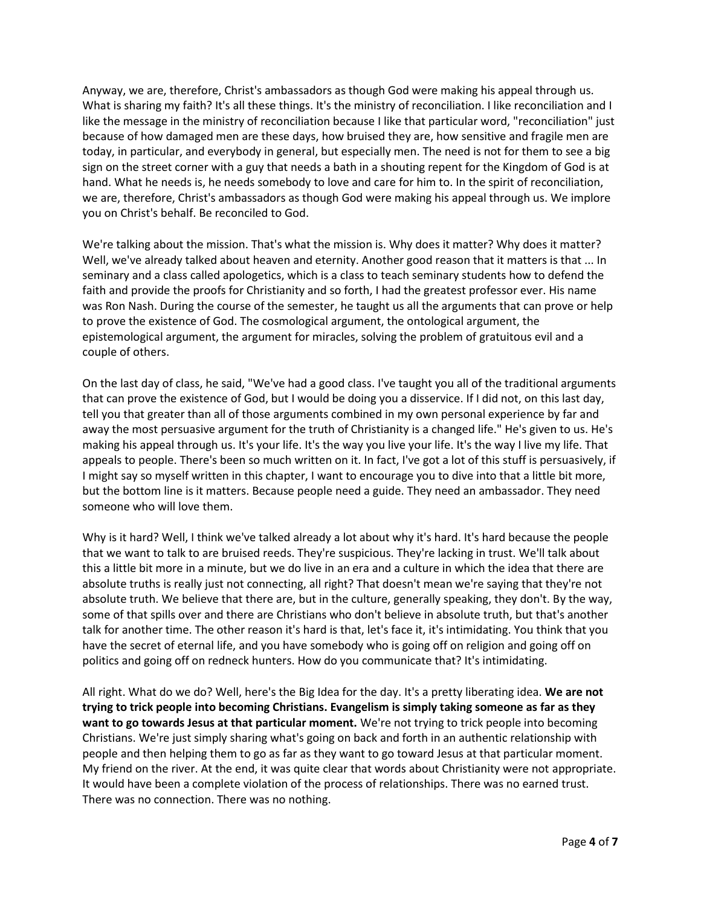Anyway, we are, therefore, Christ's ambassadors as though God were making his appeal through us. What is sharing my faith? It's all these things. It's the ministry of reconciliation. I like reconciliation and I like the message in the ministry of reconciliation because I like that particular word, "reconciliation" just because of how damaged men are these days, how bruised they are, how sensitive and fragile men are today, in particular, and everybody in general, but especially men. The need is not for them to see a big sign on the street corner with a guy that needs a bath in a shouting repent for the Kingdom of God is at hand. What he needs is, he needs somebody to love and care for him to. In the spirit of reconciliation, we are, therefore, Christ's ambassadors as though God were making his appeal through us. We implore you on Christ's behalf. Be reconciled to God.

We're talking about the mission. That's what the mission is. Why does it matter? Why does it matter? Well, we've already talked about heaven and eternity. Another good reason that it matters is that ... In seminary and a class called apologetics, which is a class to teach seminary students how to defend the faith and provide the proofs for Christianity and so forth, I had the greatest professor ever. His name was Ron Nash. During the course of the semester, he taught us all the arguments that can prove or help to prove the existence of God. The cosmological argument, the ontological argument, the epistemological argument, the argument for miracles, solving the problem of gratuitous evil and a couple of others.

On the last day of class, he said, "We've had a good class. I've taught you all of the traditional arguments that can prove the existence of God, but I would be doing you a disservice. If I did not, on this last day, tell you that greater than all of those arguments combined in my own personal experience by far and away the most persuasive argument for the truth of Christianity is a changed life." He's given to us. He's making his appeal through us. It's your life. It's the way you live your life. It's the way I live my life. That appeals to people. There's been so much written on it. In fact, I've got a lot of this stuff is persuasively, if I might say so myself written in this chapter, I want to encourage you to dive into that a little bit more, but the bottom line is it matters. Because people need a guide. They need an ambassador. They need someone who will love them.

Why is it hard? Well, I think we've talked already a lot about why it's hard. It's hard because the people that we want to talk to are bruised reeds. They're suspicious. They're lacking in trust. We'll talk about this a little bit more in a minute, but we do live in an era and a culture in which the idea that there are absolute truths is really just not connecting, all right? That doesn't mean we're saying that they're not absolute truth. We believe that there are, but in the culture, generally speaking, they don't. By the way, some of that spills over and there are Christians who don't believe in absolute truth, but that's another talk for another time. The other reason it's hard is that, let's face it, it's intimidating. You think that you have the secret of eternal life, and you have somebody who is going off on religion and going off on politics and going off on redneck hunters. How do you communicate that? It's intimidating.

All right. What do we do? Well, here's the Big Idea for the day. It's a pretty liberating idea. **We are not trying to trick people into becoming Christians. Evangelism is simply taking someone as far as they want to go towards Jesus at that particular moment.** We're not trying to trick people into becoming Christians. We're just simply sharing what's going on back and forth in an authentic relationship with people and then helping them to go as far as they want to go toward Jesus at that particular moment. My friend on the river. At the end, it was quite clear that words about Christianity were not appropriate. It would have been a complete violation of the process of relationships. There was no earned trust. There was no connection. There was no nothing.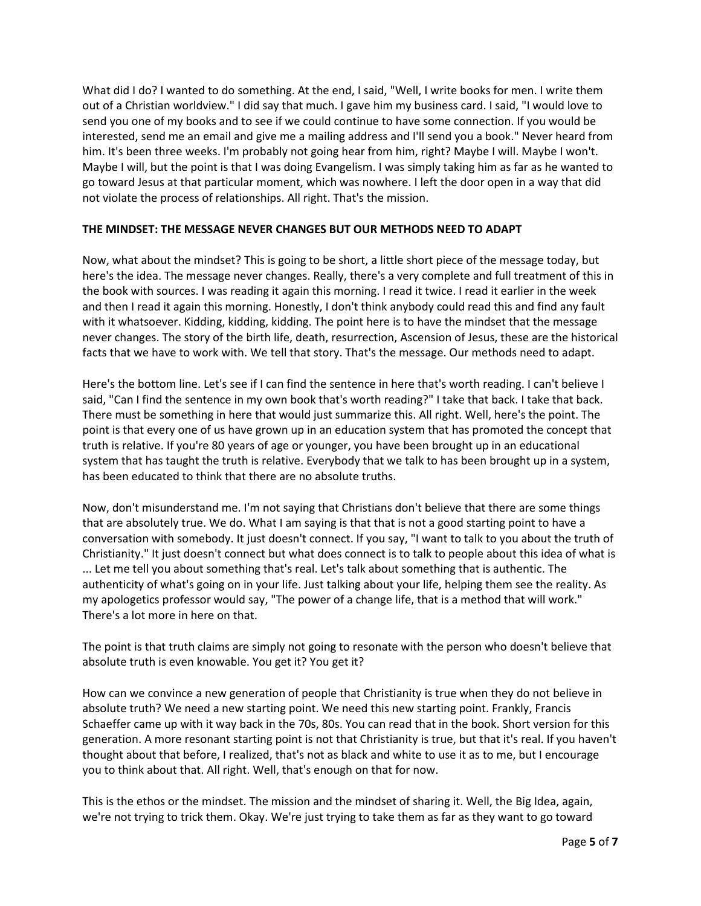What did I do? I wanted to do something. At the end, I said, "Well, I write books for men. I write them out of a Christian worldview." I did say that much. I gave him my business card. I said, "I would love to send you one of my books and to see if we could continue to have some connection. If you would be interested, send me an email and give me a mailing address and I'll send you a book." Never heard from him. It's been three weeks. I'm probably not going hear from him, right? Maybe I will. Maybe I won't. Maybe I will, but the point is that I was doing Evangelism. I was simply taking him as far as he wanted to go toward Jesus at that particular moment, which was nowhere. I left the door open in a way that did not violate the process of relationships. All right. That's the mission.

### **THE MINDSET: THE MESSAGE NEVER CHANGES BUT OUR METHODS NEED TO ADAPT**

Now, what about the mindset? This is going to be short, a little short piece of the message today, but here's the idea. The message never changes. Really, there's a very complete and full treatment of this in the book with sources. I was reading it again this morning. I read it twice. I read it earlier in the week and then I read it again this morning. Honestly, I don't think anybody could read this and find any fault with it whatsoever. Kidding, kidding, kidding. The point here is to have the mindset that the message never changes. The story of the birth life, death, resurrection, Ascension of Jesus, these are the historical facts that we have to work with. We tell that story. That's the message. Our methods need to adapt.

Here's the bottom line. Let's see if I can find the sentence in here that's worth reading. I can't believe I said, "Can I find the sentence in my own book that's worth reading?" I take that back. I take that back. There must be something in here that would just summarize this. All right. Well, here's the point. The point is that every one of us have grown up in an education system that has promoted the concept that truth is relative. If you're 80 years of age or younger, you have been brought up in an educational system that has taught the truth is relative. Everybody that we talk to has been brought up in a system, has been educated to think that there are no absolute truths.

Now, don't misunderstand me. I'm not saying that Christians don't believe that there are some things that are absolutely true. We do. What I am saying is that that is not a good starting point to have a conversation with somebody. It just doesn't connect. If you say, "I want to talk to you about the truth of Christianity." It just doesn't connect but what does connect is to talk to people about this idea of what is ... Let me tell you about something that's real. Let's talk about something that is authentic. The authenticity of what's going on in your life. Just talking about your life, helping them see the reality. As my apologetics professor would say, "The power of a change life, that is a method that will work." There's a lot more in here on that.

The point is that truth claims are simply not going to resonate with the person who doesn't believe that absolute truth is even knowable. You get it? You get it?

How can we convince a new generation of people that Christianity is true when they do not believe in absolute truth? We need a new starting point. We need this new starting point. Frankly, Francis Schaeffer came up with it way back in the 70s, 80s. You can read that in the book. Short version for this generation. A more resonant starting point is not that Christianity is true, but that it's real. If you haven't thought about that before, I realized, that's not as black and white to use it as to me, but I encourage you to think about that. All right. Well, that's enough on that for now.

This is the ethos or the mindset. The mission and the mindset of sharing it. Well, the Big Idea, again, we're not trying to trick them. Okay. We're just trying to take them as far as they want to go toward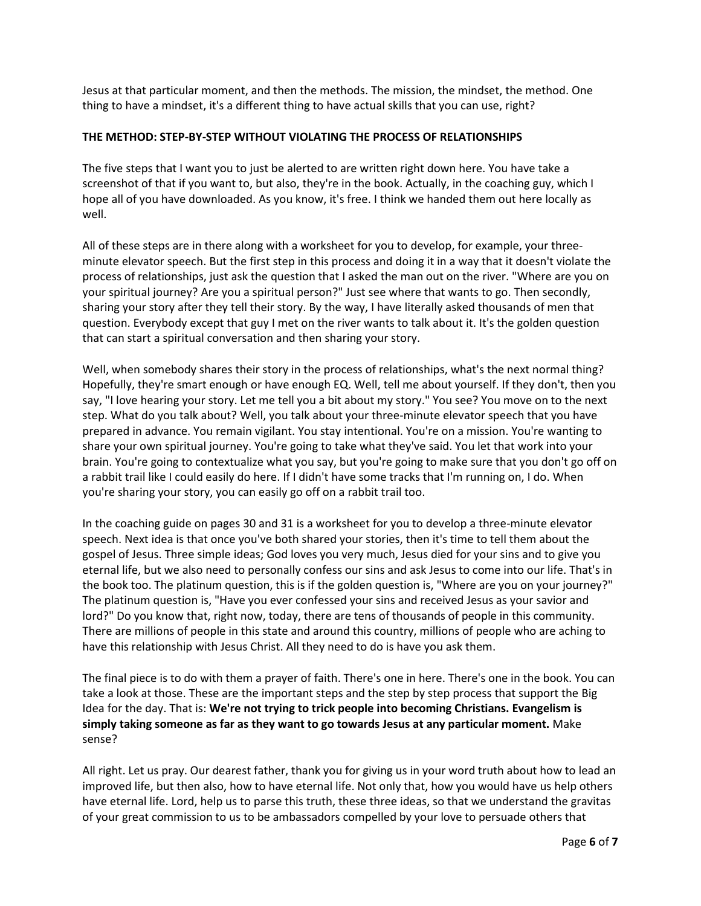Jesus at that particular moment, and then the methods. The mission, the mindset, the method. One thing to have a mindset, it's a different thing to have actual skills that you can use, right?

#### **THE METHOD: STEP-BY-STEP WITHOUT VIOLATING THE PROCESS OF RELATIONSHIPS**

The five steps that I want you to just be alerted to are written right down here. You have take a screenshot of that if you want to, but also, they're in the book. Actually, in the coaching guy, which I hope all of you have downloaded. As you know, it's free. I think we handed them out here locally as well.

All of these steps are in there along with a worksheet for you to develop, for example, your threeminute elevator speech. But the first step in this process and doing it in a way that it doesn't violate the process of relationships, just ask the question that I asked the man out on the river. "Where are you on your spiritual journey? Are you a spiritual person?" Just see where that wants to go. Then secondly, sharing your story after they tell their story. By the way, I have literally asked thousands of men that question. Everybody except that guy I met on the river wants to talk about it. It's the golden question that can start a spiritual conversation and then sharing your story.

Well, when somebody shares their story in the process of relationships, what's the next normal thing? Hopefully, they're smart enough or have enough EQ. Well, tell me about yourself. If they don't, then you say, "I love hearing your story. Let me tell you a bit about my story." You see? You move on to the next step. What do you talk about? Well, you talk about your three-minute elevator speech that you have prepared in advance. You remain vigilant. You stay intentional. You're on a mission. You're wanting to share your own spiritual journey. You're going to take what they've said. You let that work into your brain. You're going to contextualize what you say, but you're going to make sure that you don't go off on a rabbit trail like I could easily do here. If I didn't have some tracks that I'm running on, I do. When you're sharing your story, you can easily go off on a rabbit trail too.

In the coaching guide on pages 30 and 31 is a worksheet for you to develop a three-minute elevator speech. Next idea is that once you've both shared your stories, then it's time to tell them about the gospel of Jesus. Three simple ideas; God loves you very much, Jesus died for your sins and to give you eternal life, but we also need to personally confess our sins and ask Jesus to come into our life. That's in the book too. The platinum question, this is if the golden question is, "Where are you on your journey?" The platinum question is, "Have you ever confessed your sins and received Jesus as your savior and lord?" Do you know that, right now, today, there are tens of thousands of people in this community. There are millions of people in this state and around this country, millions of people who are aching to have this relationship with Jesus Christ. All they need to do is have you ask them.

The final piece is to do with them a prayer of faith. There's one in here. There's one in the book. You can take a look at those. These are the important steps and the step by step process that support the Big Idea for the day. That is: **We're not trying to trick people into becoming Christians. Evangelism is simply taking someone as far as they want to go towards Jesus at any particular moment.** Make sense?

All right. Let us pray. Our dearest father, thank you for giving us in your word truth about how to lead an improved life, but then also, how to have eternal life. Not only that, how you would have us help others have eternal life. Lord, help us to parse this truth, these three ideas, so that we understand the gravitas of your great commission to us to be ambassadors compelled by your love to persuade others that